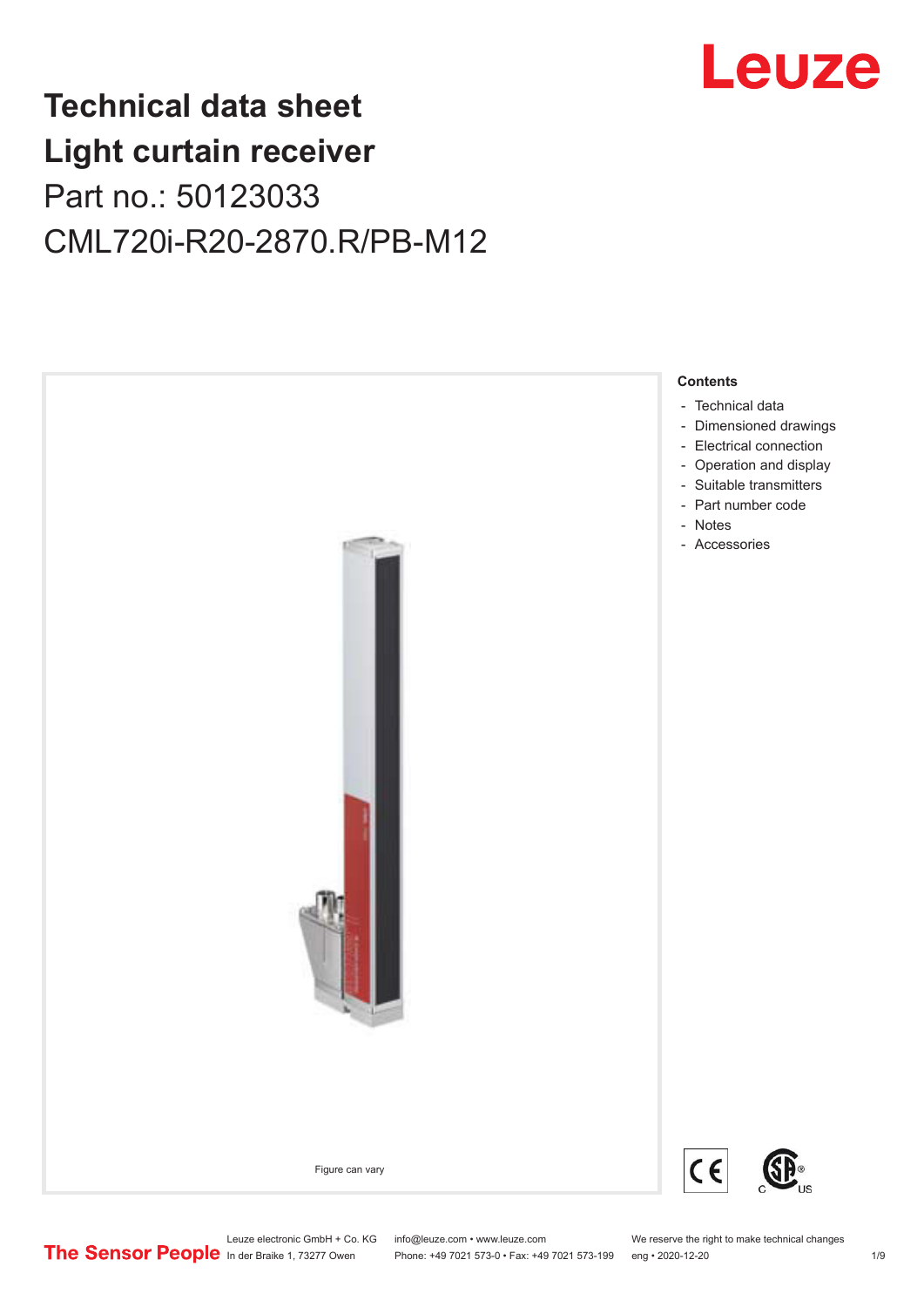

## **Technical data sheet Light curtain receiver** Part no.: 50123033 CML720i-R20-2870.R/PB-M12



Phone: +49 7021 573-0 • Fax: +49 7021 573-199 eng • 2020-12-20 1 2020-12-20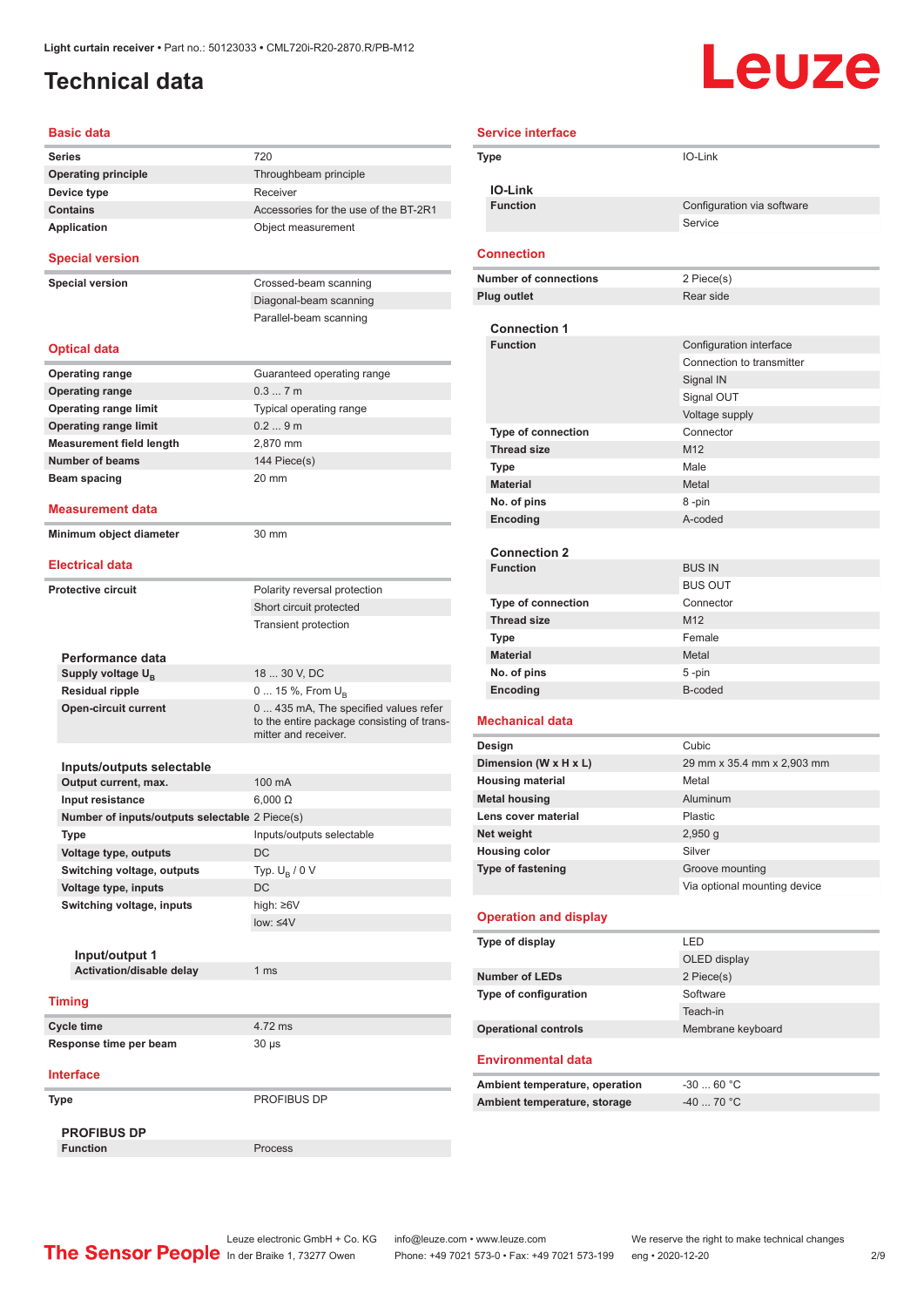### <span id="page-1-0"></span>**Technical data**

# Leuze

| Basic data                                     |                                                                                                            |
|------------------------------------------------|------------------------------------------------------------------------------------------------------------|
| <b>Series</b>                                  | 720                                                                                                        |
| <b>Operating principle</b>                     | Throughbeam principle                                                                                      |
| Device type                                    | Receiver                                                                                                   |
| <b>Contains</b>                                | Accessories for the use of the BT-2R1                                                                      |
| <b>Application</b>                             | Object measurement                                                                                         |
| <b>Special version</b>                         |                                                                                                            |
| <b>Special version</b>                         | Crossed-beam scanning                                                                                      |
|                                                | Diagonal-beam scanning                                                                                     |
|                                                | Parallel-beam scanning                                                                                     |
| <b>Optical data</b>                            |                                                                                                            |
| <b>Operating range</b>                         | Guaranteed operating range                                                                                 |
| <b>Operating range</b>                         | 0.37m                                                                                                      |
| <b>Operating range limit</b>                   | Typical operating range                                                                                    |
| <b>Operating range limit</b>                   | 0.29m                                                                                                      |
| <b>Measurement field length</b>                | 2,870 mm                                                                                                   |
| <b>Number of beams</b>                         | 144 Piece(s)                                                                                               |
| Beam spacing                                   | 20 mm                                                                                                      |
| Measurement data                               |                                                                                                            |
| Minimum object diameter                        | 30 mm                                                                                                      |
| <b>Electrical data</b>                         |                                                                                                            |
|                                                |                                                                                                            |
| <b>Protective circuit</b>                      | Polarity reversal protection                                                                               |
|                                                | Short circuit protected                                                                                    |
|                                                | <b>Transient protection</b>                                                                                |
| Performance data                               |                                                                                                            |
| Supply voltage U <sub>B</sub>                  | 18  30 V, DC                                                                                               |
| <b>Residual ripple</b>                         | 0  15 %, From $U_{\rm B}$                                                                                  |
| <b>Open-circuit current</b>                    | 0 435 mA, The specified values refer<br>to the entire package consisting of trans-<br>mitter and receiver. |
|                                                |                                                                                                            |
| Inputs/outputs selectable                      |                                                                                                            |
| Output current, max.                           | 100 mA                                                                                                     |
| Input resistance                               | $6.000 \Omega$                                                                                             |
| Number of inputs/outputs selectable 2 Piece(s) |                                                                                                            |
| Type                                           | Inputs/outputs selectable                                                                                  |
| Voltage type, outputs                          | <b>DC</b>                                                                                                  |
| Switching voltage, outputs                     | Typ. $U_R / 0 V$                                                                                           |
| Voltage type, inputs                           | DC                                                                                                         |
| Switching voltage, inputs                      | high: $\geq 6V$                                                                                            |
|                                                | low: $\leq 4V$                                                                                             |
|                                                |                                                                                                            |
| Input/output 1                                 |                                                                                                            |
| Activation/disable delay                       | 1 <sub>ms</sub>                                                                                            |
| <b>Timing</b>                                  |                                                                                                            |
| <b>Cycle time</b>                              | 4.72 ms                                                                                                    |
| Response time per beam                         | $30 \mu s$                                                                                                 |
| <b>Interface</b>                               |                                                                                                            |
| Type                                           | PROFIBUS DP                                                                                                |
|                                                |                                                                                                            |
| <b>PROFIBUS DP</b>                             |                                                                                                            |
| <b>Function</b>                                | Process                                                                                                    |

| <b>Service interface</b> |                                        |                                       |
|--------------------------|----------------------------------------|---------------------------------------|
|                          | Type                                   | IO-Link                               |
|                          |                                        |                                       |
|                          | <b>IO-Link</b><br><b>Function</b>      |                                       |
|                          |                                        | Configuration via software<br>Service |
|                          |                                        |                                       |
|                          | <b>Connection</b>                      |                                       |
|                          | <b>Number of connections</b>           | 2 Piece(s)                            |
|                          | <b>Plug outlet</b>                     | Rear side                             |
|                          |                                        |                                       |
|                          | <b>Connection 1</b>                    |                                       |
|                          | <b>Function</b>                        | Configuration interface               |
|                          |                                        | Connection to transmitter             |
|                          |                                        | Signal IN<br>Signal OUT               |
|                          |                                        | Voltage supply                        |
|                          | <b>Type of connection</b>              | Connector                             |
|                          | <b>Thread size</b>                     | M <sub>12</sub>                       |
|                          | <b>Type</b>                            | Male                                  |
|                          | <b>Material</b>                        | Metal                                 |
|                          | No. of pins                            | 8-pin                                 |
|                          | Encoding                               | A-coded                               |
|                          |                                        |                                       |
|                          | <b>Connection 2</b><br><b>Function</b> | <b>BUS IN</b>                         |
|                          |                                        | <b>BUS OUT</b>                        |
|                          | <b>Type of connection</b>              | Connector                             |
|                          | <b>Thread size</b>                     | M <sub>12</sub>                       |
|                          | Type                                   | Female                                |
|                          | <b>Material</b>                        | Metal                                 |
|                          | No. of pins                            | $5 - pin$                             |
|                          | Encoding                               | B-coded                               |
|                          | <b>Mechanical data</b>                 |                                       |
|                          | Design                                 | Cubic                                 |
|                          | Dimension (W x H x L)                  | 29 mm x 35.4 mm x 2,903 mm            |
|                          | <b>Housing material</b>                | Metal                                 |
|                          | <b>Metal housing</b>                   | Aluminum                              |
|                          | Lens cover material                    | Plastic                               |
|                          | Net weight                             | $2,950$ g                             |
|                          | <b>Housing color</b>                   | Silver                                |
|                          | Type of fastening                      | Groove mounting                       |
|                          |                                        | Via optional mounting device          |
|                          | <b>Operation and display</b>           |                                       |
|                          | Type of display                        | LED                                   |
|                          |                                        | OLED display                          |
|                          | <b>Number of LEDs</b>                  | 2 Piece(s)                            |
|                          | Type of configuration                  | Software                              |
|                          |                                        | Teach-in                              |
|                          | <b>Operational controls</b>            | Membrane keyboard                     |
|                          | <b>Environmental data</b>              |                                       |
|                          |                                        |                                       |
|                          | Ambient temperature, operation         | $-3060 °C$<br>-40  70 °C              |
|                          | Ambient temperature, storage           |                                       |
|                          |                                        |                                       |

Leuze electronic GmbH + Co. KG info@leuze.com • www.leuze.com We reserve the right to make technical changes ln der Braike 1, 73277 Owen Phone: +49 7021 573-0 • Fax: +49 7021 573-199 eng • 2020-12-20 2/9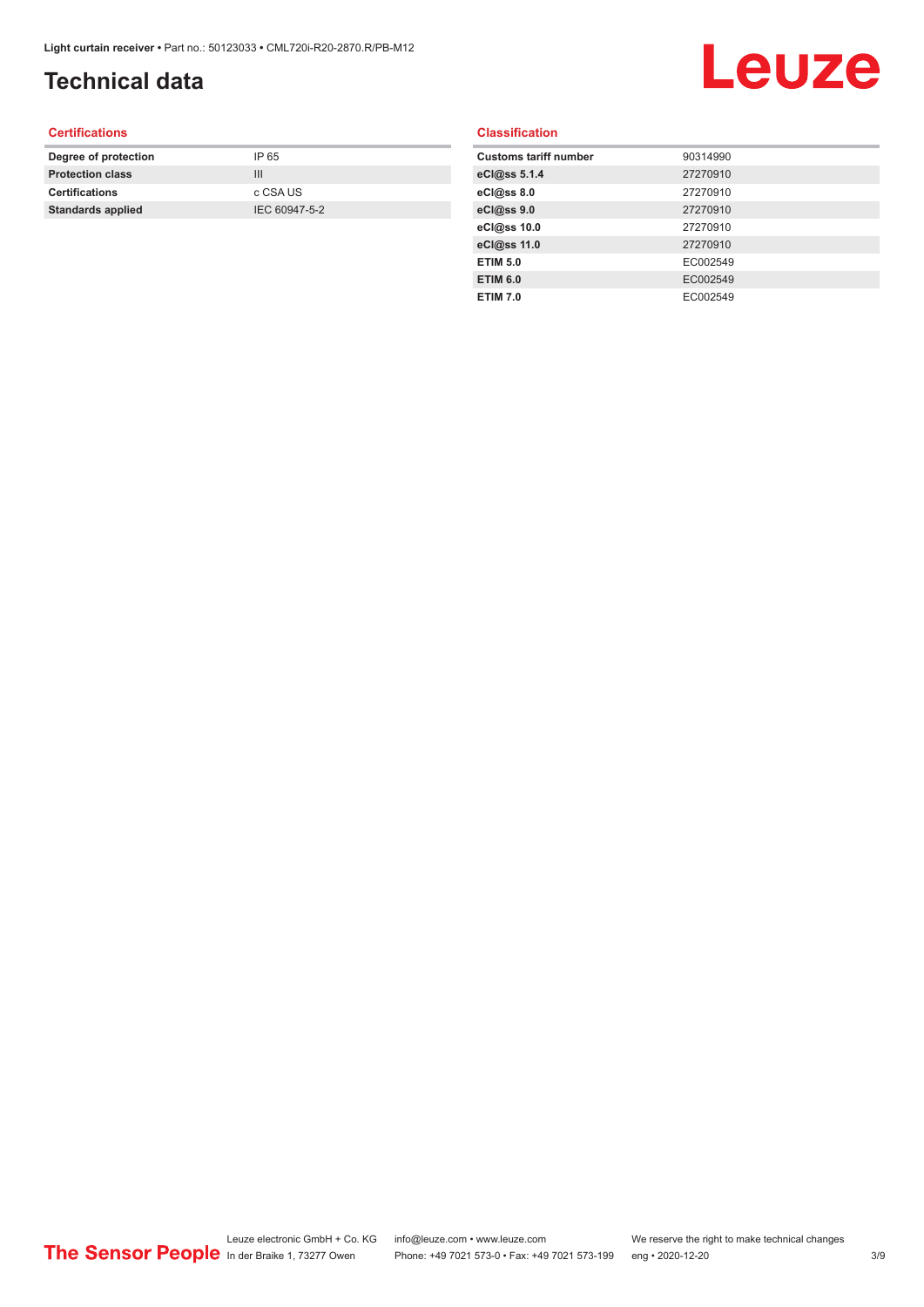## **Technical data**

## Leuze

#### **Certifications**

| Degree of protection     | IP 65         |
|--------------------------|---------------|
| <b>Protection class</b>  | Ш             |
| <b>Certifications</b>    | c CSA US      |
| <b>Standards applied</b> | IEC 60947-5-2 |
|                          |               |

#### **Classification**

| <b>Customs tariff number</b> | 90314990 |
|------------------------------|----------|
| eCl@ss 5.1.4                 | 27270910 |
| eCl@ss 8.0                   | 27270910 |
| eCl@ss 9.0                   | 27270910 |
| eCl@ss 10.0                  | 27270910 |
| eCl@ss 11.0                  | 27270910 |
| <b>ETIM 5.0</b>              | EC002549 |
| <b>ETIM 6.0</b>              | EC002549 |
| <b>ETIM 7.0</b>              | EC002549 |
|                              |          |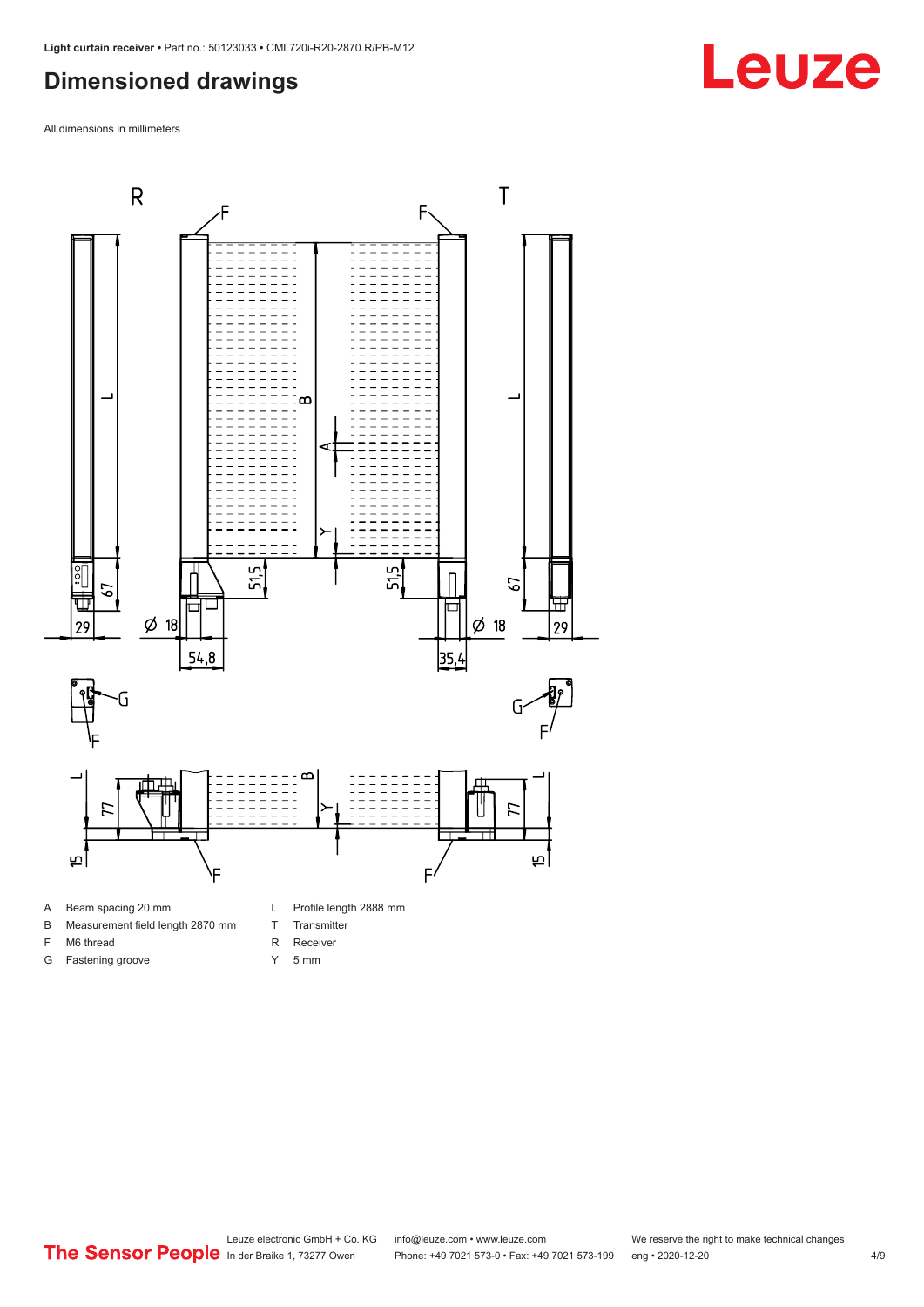#### <span id="page-3-0"></span>**Dimensioned drawings**

All dimensions in millimeters



- A Beam spacing 20 mm
- B Measurement field length 2870 mm
- F M6 thread

G Fastening groove

- 
- R Receiver Y 5 mm

T Transmitter

Leuze electronic GmbH + Co. KG info@leuze.com • www.leuze.com We reserve the right to make technical changes<br>
The Sensor People in der Braike 1, 73277 Owen Phone: +49 7021 573-0 • Fax: +49 7021 573-199 eng • 2020-12-20

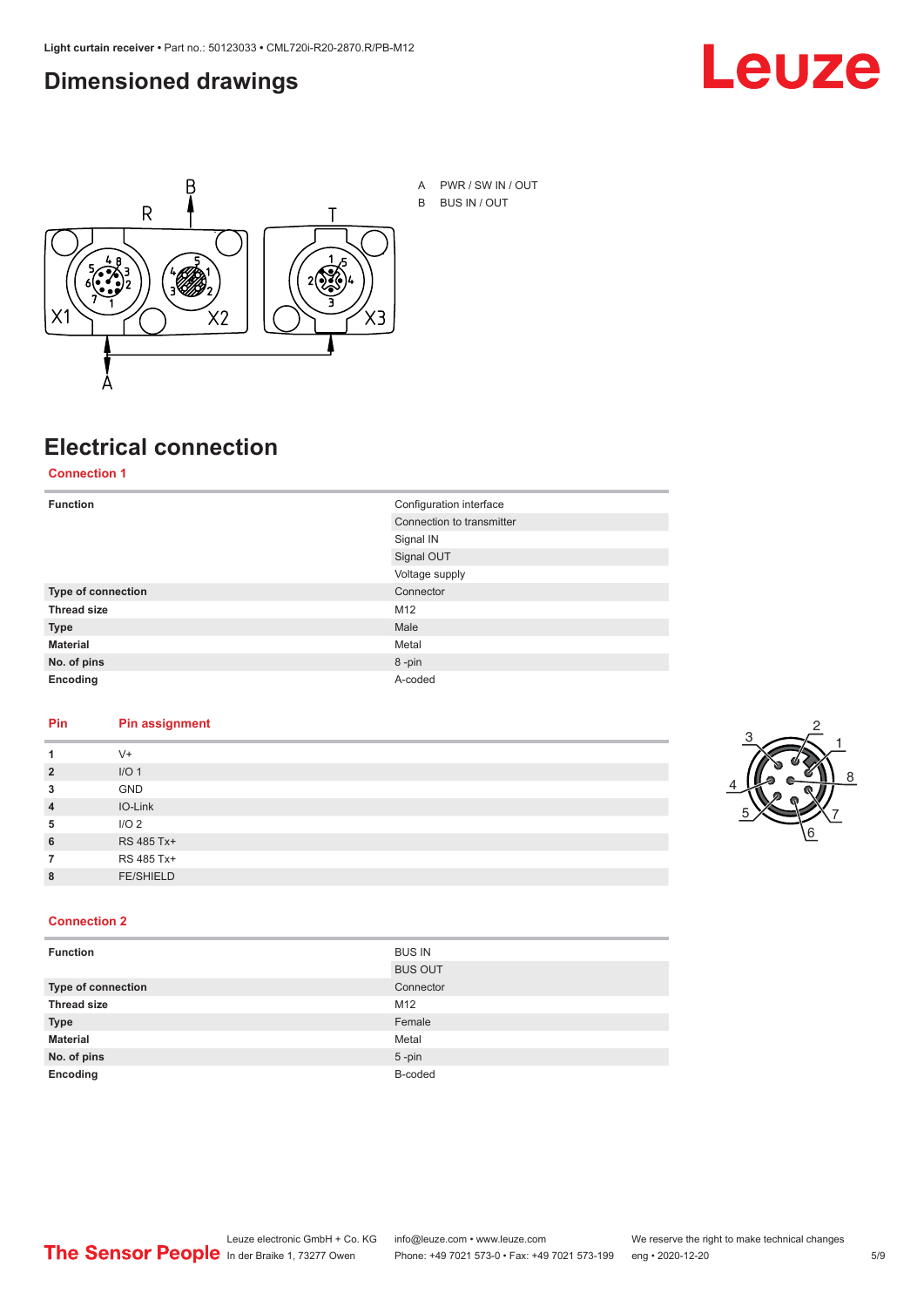#### <span id="page-4-0"></span>**Dimensioned drawings**





## **Electrical connection**

**Connection 1**

| <b>Function</b>    | Configuration interface   |  |
|--------------------|---------------------------|--|
|                    | Connection to transmitter |  |
|                    | Signal IN                 |  |
|                    | Signal OUT                |  |
|                    | Voltage supply            |  |
| Type of connection | Connector                 |  |
| <b>Thread size</b> | M12                       |  |
| <b>Type</b>        | Male                      |  |
| <b>Material</b>    | Metal                     |  |
| No. of pins        | 8-pin                     |  |
| Encoding           | A-coded                   |  |

#### **Pin Pin assignment**

| 1              | $V +$            |  |  |
|----------------|------------------|--|--|
| $\overline{2}$ | I/O <sub>1</sub> |  |  |
| 3              | <b>GND</b>       |  |  |
| $\overline{4}$ | IO-Link          |  |  |
| 5              | I/O <sub>2</sub> |  |  |
| 6              | RS 485 Tx+       |  |  |
| 7              | RS 485 Tx+       |  |  |
| 8              | <b>FE/SHIELD</b> |  |  |
|                |                  |  |  |



#### **Connection 2**

| <b>Function</b>    | <b>BUS IN</b>  |
|--------------------|----------------|
|                    | <b>BUS OUT</b> |
| Type of connection | Connector      |
| <b>Thread size</b> | M12            |
| <b>Type</b>        | Female         |
| <b>Material</b>    | Metal          |
| No. of pins        | $5 - pin$      |
| Encoding           | B-coded        |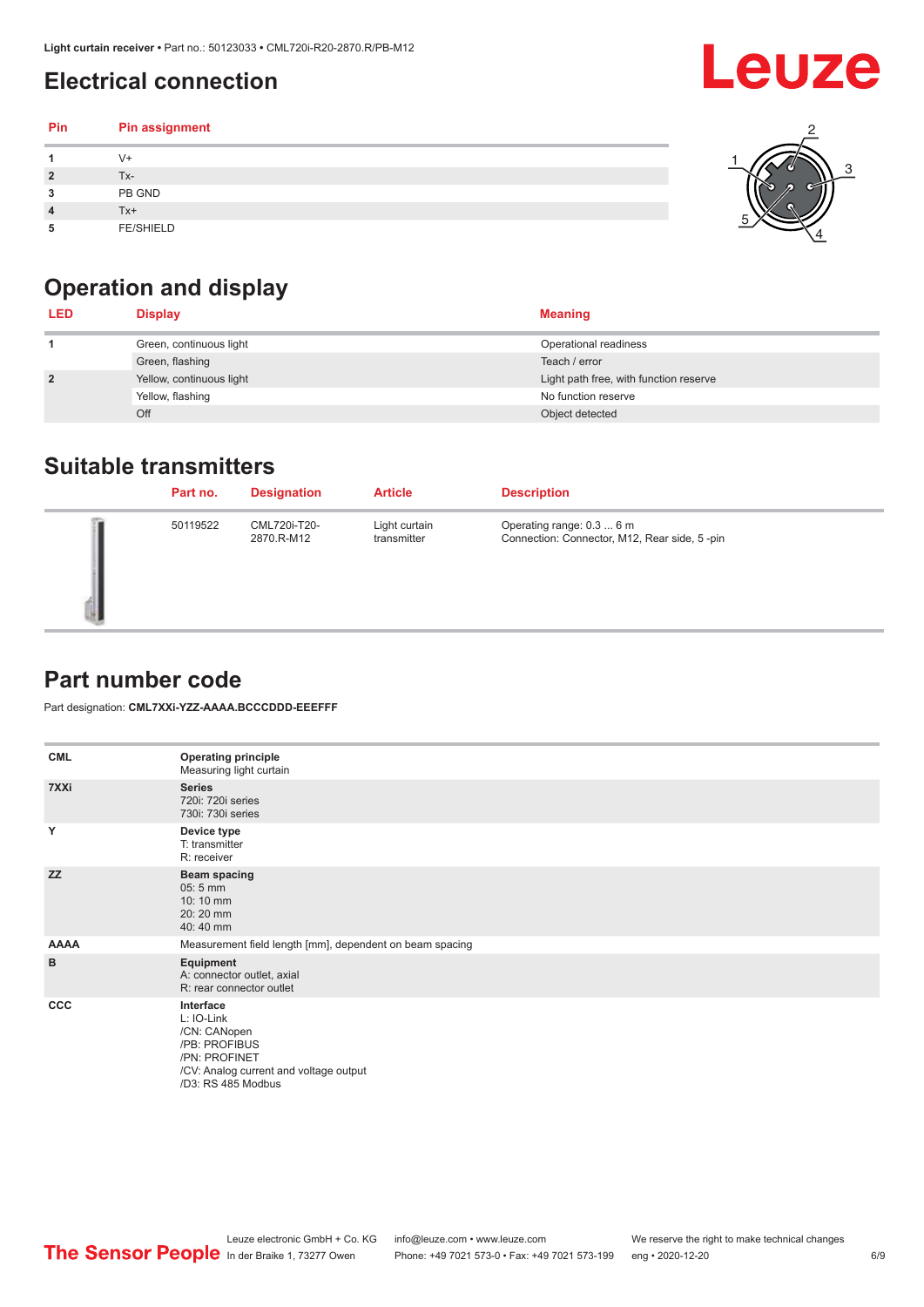## <span id="page-5-0"></span>**Electrical connection**

| Pin | Pin assignment   |  |
|-----|------------------|--|
|     | V+               |  |
| ∍   | Tx-              |  |
| 3   | PB GND           |  |
|     | $Tx+$            |  |
| 5   | <b>FE/SHIELD</b> |  |

## **Operation and display**

| <b>LED</b>     | <b>Display</b>           | <b>Meaning</b>                         |
|----------------|--------------------------|----------------------------------------|
|                | Green, continuous light  | Operational readiness                  |
|                | Green, flashing          | Teach / error                          |
| $\overline{2}$ | Yellow, continuous light | Light path free, with function reserve |
|                | Yellow, flashing         | No function reserve                    |
|                | Off                      | Object detected                        |

#### **Suitable transmitters**

| Part no. | <b>Designation</b>         | <b>Article</b>               | <b>Description</b>                                                        |
|----------|----------------------------|------------------------------|---------------------------------------------------------------------------|
| 50119522 | CML720i-T20-<br>2870.R-M12 | Light curtain<br>transmitter | Operating range: 0.3  6 m<br>Connection: Connector, M12, Rear side, 5-pin |

#### **Part number code**

Part designation: **CML7XXi-YZZ-AAAA.BCCCDDD-EEEFFF**

| <b>CML</b>  | <b>Operating principle</b><br>Measuring light curtain                                                                                     |
|-------------|-------------------------------------------------------------------------------------------------------------------------------------------|
| 7XXi        | <b>Series</b><br>720i: 720i series<br>730i: 730i series                                                                                   |
| Y           | Device type<br>T: transmitter<br>R: receiver                                                                                              |
| <b>ZZ</b>   | <b>Beam spacing</b><br>$05:5$ mm<br>10:10 mm<br>20:20 mm<br>40:40 mm                                                                      |
| <b>AAAA</b> | Measurement field length [mm], dependent on beam spacing                                                                                  |
| B           | Equipment<br>A: connector outlet, axial<br>R: rear connector outlet                                                                       |
| CCC         | Interface<br>L: IO-Link<br>/CN: CANopen<br>/PB: PROFIBUS<br>/PN: PROFINET<br>/CV: Analog current and voltage output<br>/D3: RS 485 Modbus |

**Leuze**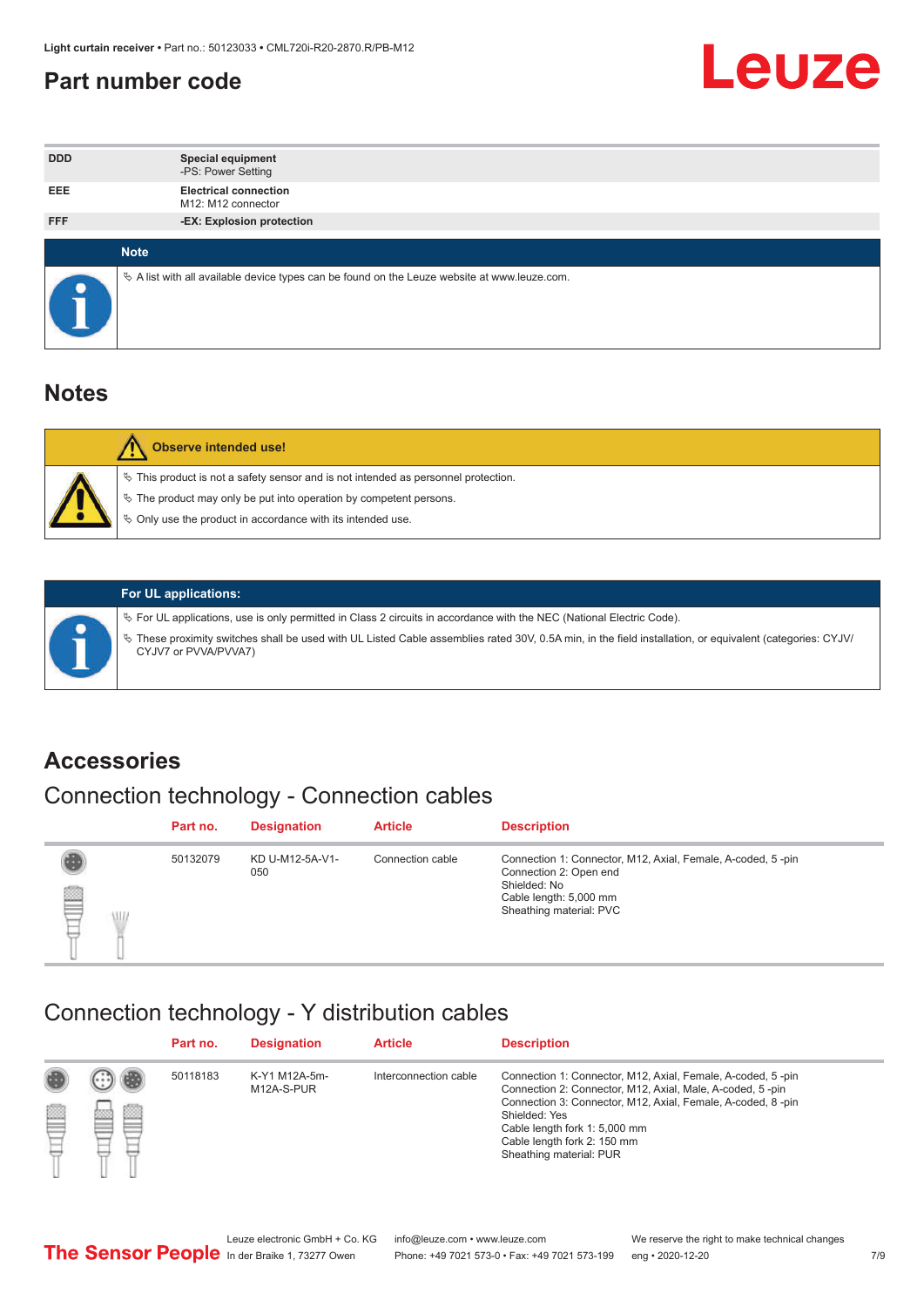#### <span id="page-6-0"></span>**Part number code**



| <b>DDD</b>  | <b>Special equipment</b><br>-PS: Power Setting                                                  |
|-------------|-------------------------------------------------------------------------------------------------|
| <b>EEE</b>  | <b>Electrical connection</b><br>M12: M12 connector                                              |
| <b>FFF</b>  | -EX: Explosion protection                                                                       |
|             |                                                                                                 |
| <b>Note</b> |                                                                                                 |
|             | $\&$ A list with all available device types can be found on the Leuze website at www.leuze.com. |

#### **Notes**

| Observe intended use!                                                                                                                                                                                                            |
|----------------------------------------------------------------------------------------------------------------------------------------------------------------------------------------------------------------------------------|
| $\%$ This product is not a safety sensor and is not intended as personnel protection.<br>$\%$ The product may only be put into operation by competent persons.<br>$\%$ Only use the product in accordance with its intended use. |
|                                                                                                                                                                                                                                  |



#### **For UL applications:**

ª For UL applications, use is only permitted in Class 2 circuits in accordance with the NEC (National Electric Code). ª These proximity switches shall be used with UL Listed Cable assemblies rated 30V, 0.5A min, in the field installation, or equivalent (categories: CYJV/ CYJV7 or PVVA/PVVA7)

#### **Accessories**

### Connection technology - Connection cables

|        | Part no. | <b>Designation</b>     | <b>Article</b>   | <b>Description</b>                                                                                                                                         |
|--------|----------|------------------------|------------------|------------------------------------------------------------------------------------------------------------------------------------------------------------|
| 2<br>W | 50132079 | KD U-M12-5A-V1-<br>050 | Connection cable | Connection 1: Connector, M12, Axial, Female, A-coded, 5-pin<br>Connection 2: Open end<br>Shielded: No<br>Cable length: 5,000 mm<br>Sheathing material: PVC |

#### Connection technology - Y distribution cables

|        |   | Part no. | <b>Designation</b>          | <b>Article</b>        | <b>Description</b>                                                                                                                                                                                                                                                                                  |
|--------|---|----------|-----------------------------|-----------------------|-----------------------------------------------------------------------------------------------------------------------------------------------------------------------------------------------------------------------------------------------------------------------------------------------------|
| 圔<br>⋿ | Ø | 50118183 | K-Y1 M12A-5m-<br>M12A-S-PUR | Interconnection cable | Connection 1: Connector, M12, Axial, Female, A-coded, 5-pin<br>Connection 2: Connector, M12, Axial, Male, A-coded, 5-pin<br>Connection 3: Connector, M12, Axial, Female, A-coded, 8-pin<br>Shielded: Yes<br>Cable length fork 1: 5,000 mm<br>Cable length fork 2: 150 mm<br>Sheathing material: PUR |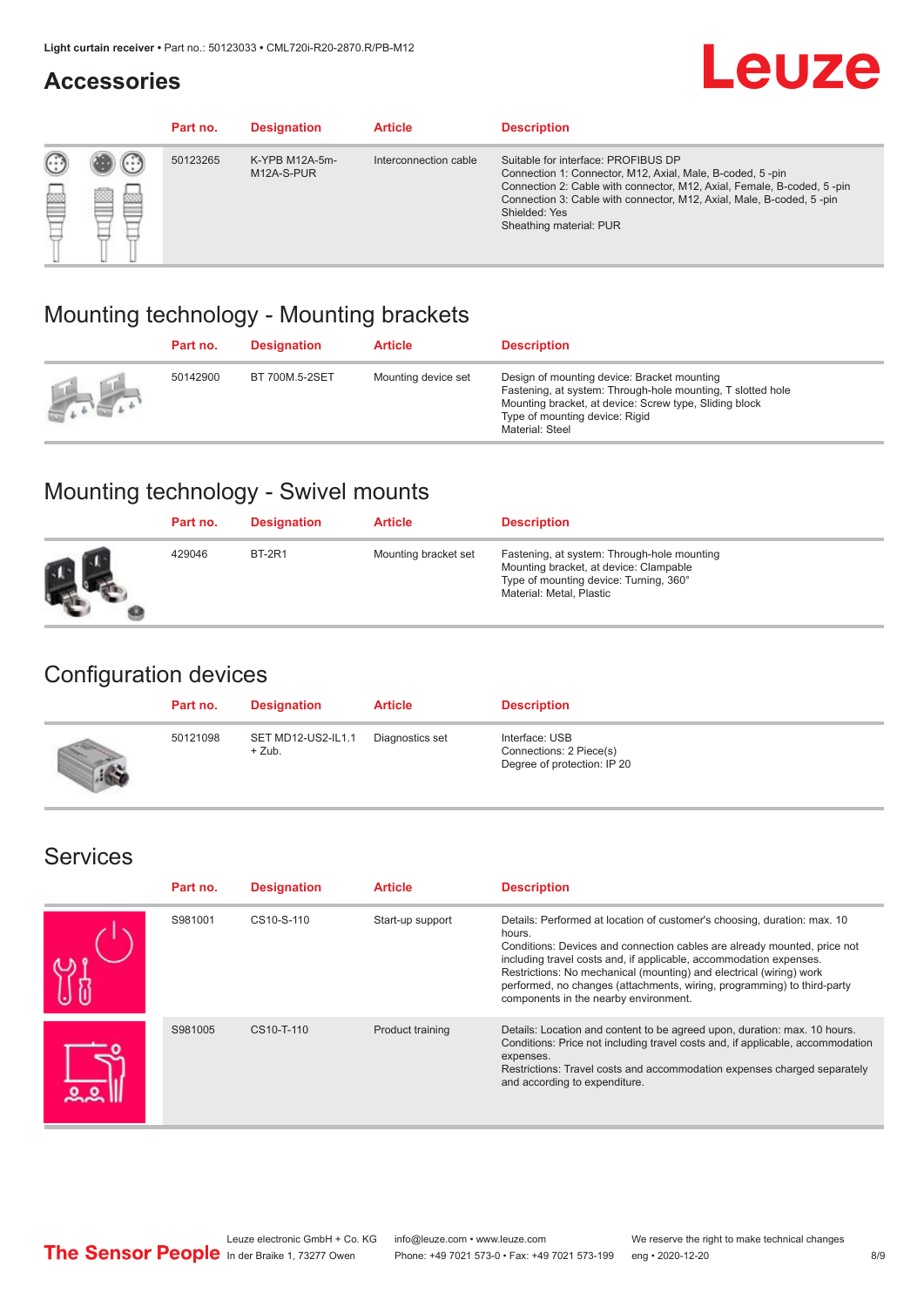#### **Accessories**

## **Leuze**

|     |        | Part no. | <b>Designation</b>           | <b>Article</b>        | <b>Description</b>                                                                                                                                                                                                                                                                             |
|-----|--------|----------|------------------------------|-----------------------|------------------------------------------------------------------------------------------------------------------------------------------------------------------------------------------------------------------------------------------------------------------------------------------------|
| 622 | æ<br>鍃 | 50123265 | K-YPB M12A-5m-<br>M12A-S-PUR | Interconnection cable | Suitable for interface: PROFIBUS DP<br>Connection 1: Connector, M12, Axial, Male, B-coded, 5-pin<br>Connection 2: Cable with connector, M12, Axial, Female, B-coded, 5-pin<br>Connection 3: Cable with connector, M12, Axial, Male, B-coded, 5-pin<br>Shielded: Yes<br>Sheathing material: PUR |

#### Mounting technology - Mounting brackets

|               | Part no. | <b>Designation</b> | <b>Article</b>      | <b>Description</b>                                                                                                                                                                                                        |
|---------------|----------|--------------------|---------------------|---------------------------------------------------------------------------------------------------------------------------------------------------------------------------------------------------------------------------|
| $\frac{1}{2}$ | 50142900 | BT 700M.5-2SET     | Mounting device set | Design of mounting device: Bracket mounting<br>Fastening, at system: Through-hole mounting, T slotted hole<br>Mounting bracket, at device: Screw type, Sliding block<br>Type of mounting device: Rigid<br>Material: Steel |

### Mounting technology - Swivel mounts

| Part no. | <b>Designation</b> | <b>Article</b>       | <b>Description</b>                                                                                                                                          |
|----------|--------------------|----------------------|-------------------------------------------------------------------------------------------------------------------------------------------------------------|
| 429046   | <b>BT-2R1</b>      | Mounting bracket set | Fastening, at system: Through-hole mounting<br>Mounting bracket, at device: Clampable<br>Type of mounting device: Turning, 360°<br>Material: Metal, Plastic |

#### Configuration devices

| Part no. | <b>Designation</b>             | <b>Article</b>  | <b>Description</b>                                                       |
|----------|--------------------------------|-----------------|--------------------------------------------------------------------------|
| 50121098 | SET MD12-US2-IL1.1<br>$+$ Zub. | Diagnostics set | Interface: USB<br>Connections: 2 Piece(s)<br>Degree of protection: IP 20 |

#### Services

| Part no. | <b>Designation</b> | <b>Article</b>   | <b>Description</b>                                                                                                                                                                                                                                                                                                                                                                                                              |
|----------|--------------------|------------------|---------------------------------------------------------------------------------------------------------------------------------------------------------------------------------------------------------------------------------------------------------------------------------------------------------------------------------------------------------------------------------------------------------------------------------|
| S981001  | CS10-S-110         | Start-up support | Details: Performed at location of customer's choosing, duration: max. 10<br>hours.<br>Conditions: Devices and connection cables are already mounted, price not<br>including travel costs and, if applicable, accommodation expenses.<br>Restrictions: No mechanical (mounting) and electrical (wiring) work<br>performed, no changes (attachments, wiring, programming) to third-party<br>components in the nearby environment. |
| S981005  | CS10-T-110         | Product training | Details: Location and content to be agreed upon, duration: max. 10 hours.<br>Conditions: Price not including travel costs and, if applicable, accommodation<br>expenses.<br>Restrictions: Travel costs and accommodation expenses charged separately<br>and according to expenditure.                                                                                                                                           |